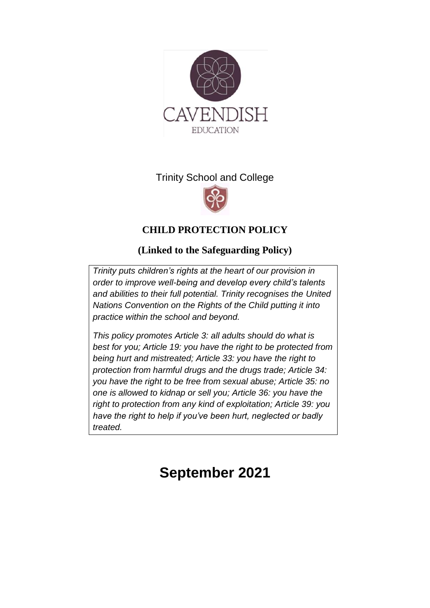

# Trinity School and College



# **CHILD PROTECTION POLICY**

# **(Linked to the Safeguarding Policy)**

*Trinity puts [children's rights](http://www.unicef.org.uk/rights-respecting-schools/about-the-award/child-rights-in-schools/) at the heart of our provision in order to improve well-being and develop every child's talents and abilities to their full potential. Trinity recognises the [United](http://www.unicef.org.uk/UNICEFs-Work/UN-Convention/)  [Nations Convention on the Rights of the Child](http://www.unicef.org.uk/UNICEFs-Work/UN-Convention/) putting it into practice within the school and beyond.*

*This policy promotes Article 3: all adults should do what is best for you; Article 19: you have the right to be protected from being hurt and mistreated; Article 33: you have the right to protection from harmful drugs and the drugs trade; Article 34: you have the right to be free from sexual abuse; Article 35: no one is allowed to kidnap or sell you; Article 36: you have the right to protection from any kind of exploitation; Article 39: you have the right to help if you've been hurt, neglected or badly treated.* 

# **September 2021**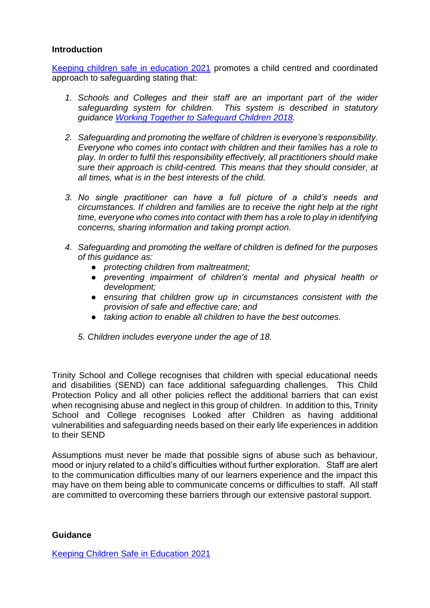#### **Introduction**

[Keeping children safe in education 2021](https://assets.publishing.service.gov.uk/government/uploads/system/uploads/attachment_data/file/999348/Keeping_children_safe_in_education_2021.pdf) promotes a child centred and coordinated approach to safeguarding stating that:

- *1. Schools and Colleges and their staff are an important part of the wider safeguarding system for children. This system is described in statutory guidance [Working Together to Safeguard Children 2018.](https://assets.publishing.service.gov.uk/government/uploads/system/uploads/attachment_data/file/779401/Working_Together_to_Safeguard-Children.pdf)*
- *2. Safeguarding and promoting the welfare of children is everyone's responsibility. Everyone who comes into contact with children and their families has a role to play. In order to fulfil this responsibility effectively, all practitioners should make sure their approach is child-centred. This means that they should consider, at all times, what is in the best interests of the child.*
- *3. No single practitioner can have a full picture of a child's needs and circumstances. If children and families are to receive the right help at the right time, everyone who comes into contact with them has a role to play in identifying concerns, sharing information and taking prompt action.*
- *4. Safeguarding and promoting the welfare of children is defined for the purposes of this guidance as:* 
	- *protecting children from maltreatment;*
	- *preventing impairment of children's mental and physical health or development;*
	- *ensuring that children grow up in circumstances consistent with the provision of safe and effective care; and*
	- *taking action to enable all children to have the best outcomes.*
	- *5. Children includes everyone under the age of 18.*

Trinity School and College recognises that children with special educational needs and disabilities (SEND) can face additional safeguarding challenges. This Child Protection Policy and all other policies reflect the additional barriers that can exist when recognising abuse and neglect in this group of children. In addition to this, Trinity School and College recognises Looked after Children as having additional vulnerabilities and safeguarding needs based on their early life experiences in addition to their SEND

Assumptions must never be made that possible signs of abuse such as behaviour, mood or injury related to a child's difficulties without further exploration. Staff are alert to the communication difficulties many of our learners experience and the impact this may have on them being able to communicate concerns or difficulties to staff. All staff are committed to overcoming these barriers through our extensive pastoral support.

#### **Guidance**

[Keeping Children Safe in Education 2021](https://assets.publishing.service.gov.uk/government/uploads/system/uploads/attachment_data/file/999348/Keeping_children_safe_in_education_2021.pdf)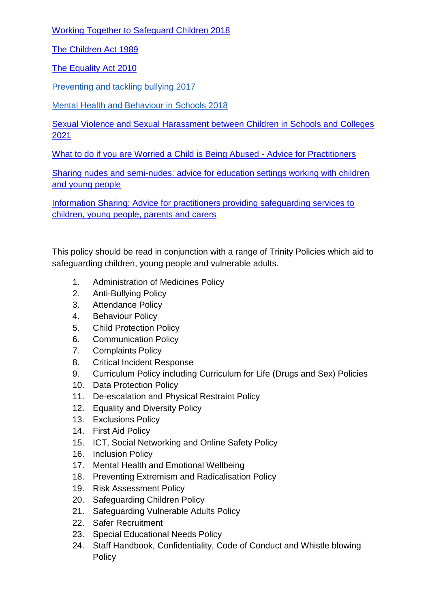[Working Together to Safeguard Children 2018](https://assets.publishing.service.gov.uk/government/uploads/system/uploads/attachment_data/file/779401/Working_Together_to_Safeguard-Children.pdf)

[The Children Act 1989](https://www.legislation.gov.uk/ukpga/1989/41/contents)

[The Equality Act 2010](https://www.gov.uk/guidance/equality-act-2010-guidance)

[Preventing and tackling bullying 2017](https://www.gov.uk/government/publications/preventing-and-tackling-bullying)

[Mental Health and Behaviour in Schools 2018](https://www.gov.uk/government/publications/mental-health-and-behaviour-in-schools--2)

[Sexual Violence and Sexual Harassment between Children in Schools and Colleges](https://assets.publishing.service.gov.uk/government/uploads/system/uploads/attachment_data/file/999239/SVSH_2021.pdf)  [2021](https://assets.publishing.service.gov.uk/government/uploads/system/uploads/attachment_data/file/999239/SVSH_2021.pdf)

[What to do if you are Worried a Child is Being Abused -](https://assets.publishing.service.gov.uk/government/uploads/system/uploads/attachment_data/file/419604/What_to_do_if_you_re_worried_a_child_is_being_abused.pdf) Advice for Practitioners

[Sharing nudes and semi-nudes: advice for education settings working with children](https://www.gov.uk/government/publications/sharing-nudes-and-semi-nudes-advice-for-education-settings-working-with-children-and-young-people/sharing-nudes-and-semi-nudes-advice-for-education-settings-working-with-children-and-young-people)  [and young people](https://www.gov.uk/government/publications/sharing-nudes-and-semi-nudes-advice-for-education-settings-working-with-children-and-young-people/sharing-nudes-and-semi-nudes-advice-for-education-settings-working-with-children-and-young-people)

[Information Sharing: Advice for practitioners providing safeguarding services to](https://assets.publishing.service.gov.uk/government/uploads/system/uploads/attachment_data/file/721581/Information_sharing_advice_practitioners_safeguarding_services.pdf)  [children, young people, parents and carers](https://assets.publishing.service.gov.uk/government/uploads/system/uploads/attachment_data/file/721581/Information_sharing_advice_practitioners_safeguarding_services.pdf)

This policy should be read in conjunction with a range of Trinity Policies which aid to safeguarding children, young people and vulnerable adults.

- 1. Administration of Medicines Policy
- 2. Anti-Bullying Policy
- 3. Attendance Policy
- 4. Behaviour Policy
- 5. Child Protection Policy
- 6. Communication Policy
- 7. Complaints Policy
- 8. Critical Incident Response
- 9. Curriculum Policy including Curriculum for Life (Drugs and Sex) Policies
- 10. Data Protection Policy
- 11. De-escalation and Physical Restraint Policy
- 12. Equality and Diversity Policy
- 13. Exclusions Policy
- 14. First Aid Policy
- 15. ICT, Social Networking and Online Safety Policy
- 16. Inclusion Policy
- 17. Mental Health and Emotional Wellbeing
- 18. Preventing Extremism and Radicalisation Policy
- 19. Risk Assessment Policy
- 20. Safeguarding Children Policy
- 21. Safeguarding Vulnerable Adults Policy
- 22. Safer Recruitment
- 23. Special Educational Needs Policy
- 24. Staff Handbook, Confidentiality, Code of Conduct and Whistle blowing **Policy**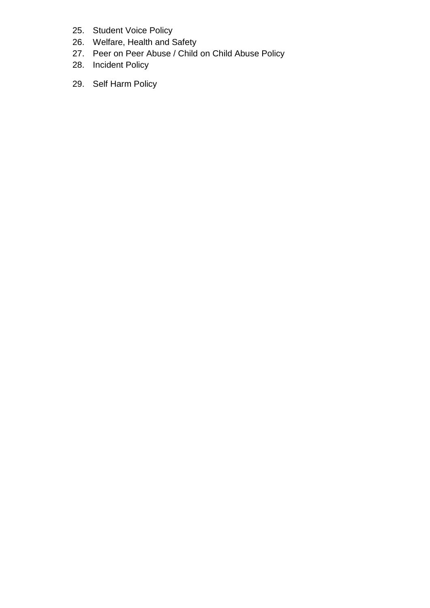- 25. Student Voice Policy
- 26. Welfare, Health and Safety
- 27. Peer on Peer Abuse / Child on Child Abuse Policy
- 28. Incident Policy
- 29. Self Harm Policy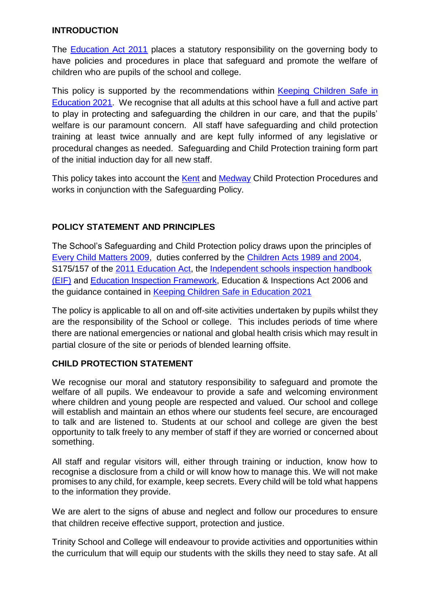#### **INTRODUCTION**

The **Education Act 2011** places a statutory responsibility on the governing body to have policies and procedures in place that safeguard and promote the welfare of children who are pupils of the school and college.

This policy is supported by the recommendations within Keeping Children Safe in [Education 2021.](https://assets.publishing.service.gov.uk/government/uploads/system/uploads/attachment_data/file/999348/Keeping_children_safe_in_education_2021.pdf) We recognise that all adults at this school have a full and active part to play in protecting and safeguarding the children in our care, and that the pupils' welfare is our paramount concern. All staff have safeguarding and child protection training at least twice annually and are kept fully informed of any legislative or procedural changes as needed. Safeguarding and Child Protection training form part of the initial induction day for all new staff.

This policy takes into account the [Kent](https://www.kscb.org.uk/) and [Medway](https://www.mscb.org.uk/mscb/) Child Protection Procedures and works in conjunction with the Safeguarding Policy.

## **POLICY STATEMENT AND PRINCIPLES**

The School's Safeguarding and Child Protection policy draws upon the principles of [Every Child Matters 2009,](https://www.gov.uk/government/publications/every-child-matters-statutory-guidance) duties conferred by the [Children Acts 1989 and 2004,](https://www.legislation.gov.uk/ukpga/2004/31/contents) S175/157 of the [2011 Education Act,](http://www.legislation.gov.uk/ukpga/2011/21/contents/enacted) the [Independent schools inspection handbook](https://www.gov.uk/government/publications/independent-schools-inspection-handbook-eif)  [\(EIF\)](https://www.gov.uk/government/publications/independent-schools-inspection-handbook-eif) and [Education Inspection Framework,](https://www.gov.uk/government/publications/education-inspection-framework) Education & Inspections Act 2006 and the guidance contained in [Keeping Children Safe in Education 2021](https://assets.publishing.service.gov.uk/government/uploads/system/uploads/attachment_data/file/999348/Keeping_children_safe_in_education_2021.pdf)

The policy is applicable to all on and off-site activities undertaken by pupils whilst they are the responsibility of the School or college. This includes periods of time where there are national emergencies or national and global health crisis which may result in partial closure of the site or periods of blended learning offsite.

#### **CHILD PROTECTION STATEMENT**

We recognise our moral and statutory responsibility to safeguard and promote the welfare of all pupils. We endeavour to provide a safe and welcoming environment where children and young people are respected and valued. Our school and college will establish and maintain an ethos where our students feel secure, are encouraged to talk and are listened to. Students at our school and college are given the best opportunity to talk freely to any member of staff if they are worried or concerned about something.

All staff and regular visitors will, either through training or induction, know how to recognise a disclosure from a child or will know how to manage this. We will not make promises to any child, for example, keep secrets. Every child will be told what happens to the information they provide.

We are alert to the signs of abuse and neglect and follow our procedures to ensure that children receive effective support, protection and justice.

Trinity School and College will endeavour to provide activities and opportunities within the curriculum that will equip our students with the skills they need to stay safe. At all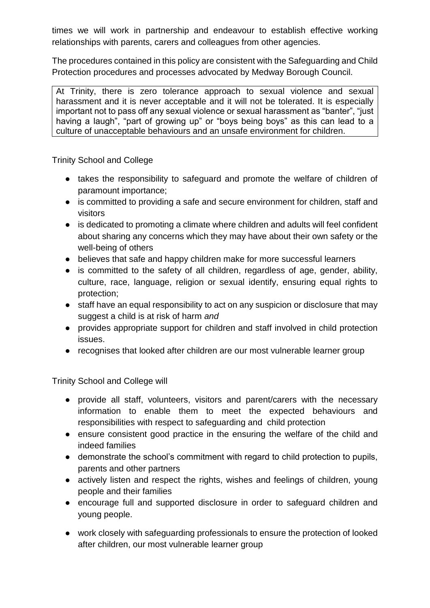times we will work in partnership and endeavour to establish effective working relationships with parents, carers and colleagues from other agencies.

The procedures contained in this policy are consistent with the Safeguarding and Child Protection procedures and processes advocated by Medway Borough Council.

At Trinity, there is zero tolerance approach to sexual violence and sexual harassment and it is never acceptable and it will not be tolerated. It is especially important not to pass off any sexual violence or sexual harassment as "banter", "just having a laugh", "part of growing up" or "boys being boys" as this can lead to a culture of unacceptable behaviours and an unsafe environment for children.

Trinity School and College

- takes the responsibility to safeguard and promote the welfare of children of paramount importance;
- is committed to providing a safe and secure environment for children, staff and visitors
- is dedicated to promoting a climate where children and adults will feel confident about sharing any concerns which they may have about their own safety or the well-being of others
- believes that safe and happy children make for more successful learners
- is committed to the safety of all children, regardless of age, gender, ability, culture, race, language, religion or sexual identify, ensuring equal rights to protection;
- staff have an equal responsibility to act on any suspicion or disclosure that may suggest a child is at risk of harm *and*
- provides appropriate support for children and staff involved in child protection issues.
- recognises that looked after children are our most vulnerable learner group

Trinity School and College will

- provide all staff, volunteers, visitors and parent/carers with the necessary information to enable them to meet the expected behaviours and responsibilities with respect to safeguarding and child protection
- ensure consistent good practice in the ensuring the welfare of the child and indeed families
- demonstrate the school's commitment with regard to child protection to pupils, parents and other partners
- actively listen and respect the rights, wishes and feelings of children, young people and their families
- encourage full and supported disclosure in order to safeguard children and young people.
- work closely with safeguarding professionals to ensure the protection of looked after children, our most vulnerable learner group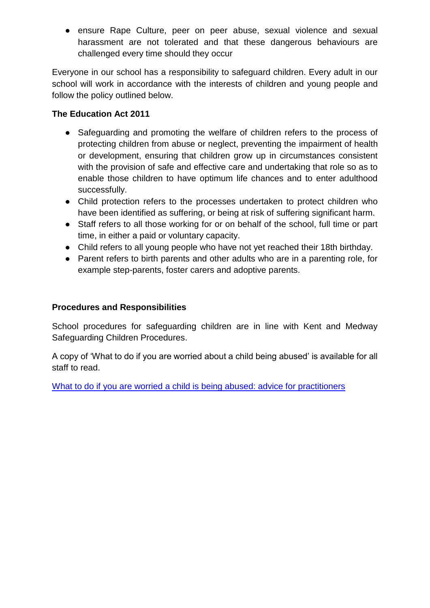● ensure Rape Culture, peer on peer abuse, sexual violence and sexual harassment are not tolerated and that these dangerous behaviours are challenged every time should they occur

Everyone in our school has a responsibility to safeguard children. Every adult in our school will work in accordance with the interests of children and young people and follow the policy outlined below.

#### **The Education Act 2011**

- Safeguarding and promoting the welfare of children refers to the process of protecting children from abuse or neglect, preventing the impairment of health or development, ensuring that children grow up in circumstances consistent with the provision of safe and effective care and undertaking that role so as to enable those children to have optimum life chances and to enter adulthood successfully.
- Child protection refers to the processes undertaken to protect children who have been identified as suffering, or being at risk of suffering significant harm.
- Staff refers to all those working for or on behalf of the school, full time or part time, in either a paid or voluntary capacity.
- Child refers to all young people who have not yet reached their 18th birthday.
- Parent refers to birth parents and other adults who are in a parenting role, for example step-parents, foster carers and adoptive parents.

#### **Procedures and Responsibilities**

School procedures for safeguarding children are in line with Kent and Medway Safeguarding Children Procedures.

A copy of 'What to do if you are worried about a child being abused' is available for all staff to read.

[What to do if you are worried a child is being abused: advice for practitioners](https://www.gov.uk/government/publications/what-to-do-if-youre-worried-a-child-is-being-abused--2)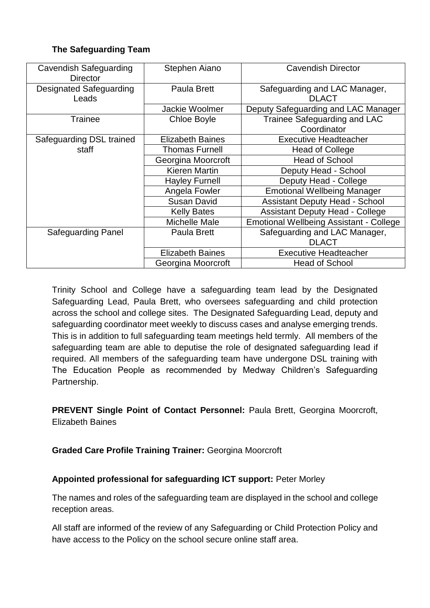#### **The Safeguarding Team**

| <b>Cavendish Safeguarding</b><br><b>Director</b> | Stephen Aiano           | <b>Cavendish Director</b>                      |
|--------------------------------------------------|-------------------------|------------------------------------------------|
| <b>Designated Safeguarding</b>                   | Paula Brett             | Safeguarding and LAC Manager,                  |
| Leads                                            |                         | <b>DLACT</b>                                   |
|                                                  | Jackie Woolmer          | Deputy Safeguarding and LAC Manager            |
| <b>Trainee</b>                                   | <b>Chloe Boyle</b>      | Trainee Safeguarding and LAC                   |
|                                                  |                         | Coordinator                                    |
| Safeguarding DSL trained                         | <b>Elizabeth Baines</b> | <b>Executive Headteacher</b>                   |
| staff                                            | <b>Thomas Furnell</b>   | <b>Head of College</b>                         |
|                                                  | Georgina Moorcroft      | <b>Head of School</b>                          |
|                                                  | Kieren Martin           | Deputy Head - School                           |
|                                                  | <b>Hayley Furnell</b>   | Deputy Head - College                          |
|                                                  | Angela Fowler           | <b>Emotional Wellbeing Manager</b>             |
|                                                  | <b>Susan David</b>      | <b>Assistant Deputy Head - School</b>          |
|                                                  | <b>Kelly Bates</b>      | <b>Assistant Deputy Head - College</b>         |
|                                                  | Michelle Male           | <b>Emotional Wellbeing Assistant - College</b> |
| <b>Safeguarding Panel</b>                        | Paula Brett             | Safeguarding and LAC Manager,                  |
|                                                  |                         | <b>DLACT</b>                                   |
|                                                  | <b>Elizabeth Baines</b> | <b>Executive Headteacher</b>                   |
|                                                  | Georgina Moorcroft      | <b>Head of School</b>                          |

Trinity School and College have a safeguarding team lead by the Designated Safeguarding Lead, Paula Brett, who oversees safeguarding and child protection across the school and college sites. The Designated Safeguarding Lead, deputy and safeguarding coordinator meet weekly to discuss cases and analyse emerging trends. This is in addition to full safeguarding team meetings held termly. All members of the safeguarding team are able to deputise the role of designated safeguarding lead if required. All members of the safeguarding team have undergone DSL training with The Education People as recommended by Medway Children's Safeguarding Partnership.

**PREVENT Single Point of Contact Personnel:** Paula Brett, Georgina Moorcroft, Elizabeth Baines

#### **Graded Care Profile Training Trainer:** Georgina Moorcroft

## **Appointed professional for safeguarding ICT support:** Peter Morley

The names and roles of the safeguarding team are displayed in the school and college reception areas.

All staff are informed of the review of any Safeguarding or Child Protection Policy and have access to the Policy on the school secure online staff area.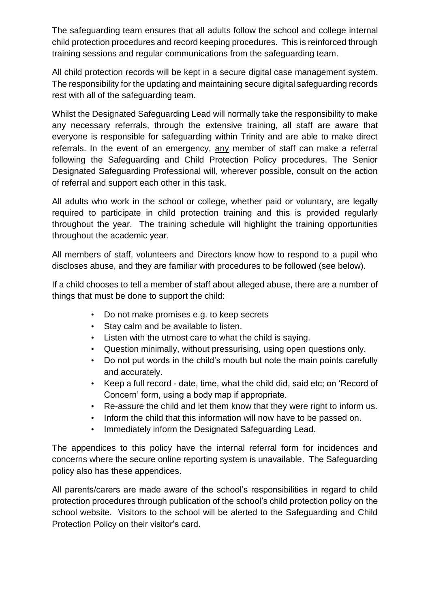The safeguarding team ensures that all adults follow the school and college internal child protection procedures and record keeping procedures. This is reinforced through training sessions and regular communications from the safeguarding team.

All child protection records will be kept in a secure digital case management system. The responsibility for the updating and maintaining secure digital safeguarding records rest with all of the safeguarding team.

Whilst the Designated Safeguarding Lead will normally take the responsibility to make any necessary referrals, through the extensive training, all staff are aware that everyone is responsible for safeguarding within Trinity and are able to make direct referrals. In the event of an emergency, any member of staff can make a referral following the Safeguarding and Child Protection Policy procedures. The Senior Designated Safeguarding Professional will, wherever possible, consult on the action of referral and support each other in this task.

All adults who work in the school or college, whether paid or voluntary, are legally required to participate in child protection training and this is provided regularly throughout the year. The training schedule will highlight the training opportunities throughout the academic year.

All members of staff, volunteers and Directors know how to respond to a pupil who discloses abuse, and they are familiar with procedures to be followed (see below).

If a child chooses to tell a member of staff about alleged abuse, there are a number of things that must be done to support the child:

- Do not make promises e.g. to keep secrets
- Stay calm and be available to listen.
- Listen with the utmost care to what the child is saying.
- Question minimally, without pressurising, using open questions only.
- Do not put words in the child's mouth but note the main points carefully and accurately.
- Keep a full record date, time, what the child did, said etc; on 'Record of Concern' form, using a body map if appropriate.
- Re-assure the child and let them know that they were right to inform us.
- Inform the child that this information will now have to be passed on.
- Immediately inform the Designated Safeguarding Lead.

The appendices to this policy have the internal referral form for incidences and concerns where the secure online reporting system is unavailable. The Safeguarding policy also has these appendices.

All parents/carers are made aware of the school's responsibilities in regard to child protection procedures through publication of the school's child protection policy on the school website. Visitors to the school will be alerted to the Safeguarding and Child Protection Policy on their visitor's card.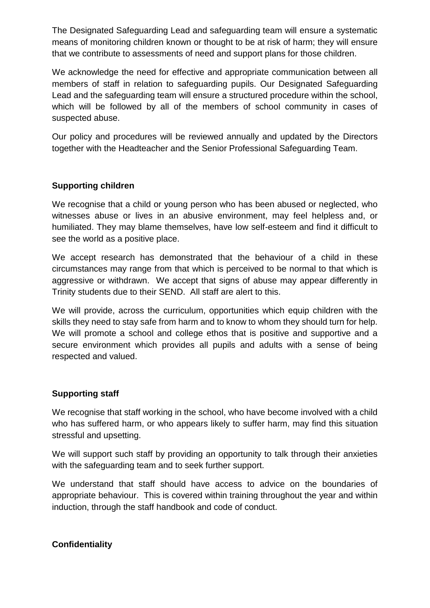The Designated Safeguarding Lead and safeguarding team will ensure a systematic means of monitoring children known or thought to be at risk of harm; they will ensure that we contribute to assessments of need and support plans for those children.

We acknowledge the need for effective and appropriate communication between all members of staff in relation to safeguarding pupils. Our Designated Safeguarding Lead and the safeguarding team will ensure a structured procedure within the school, which will be followed by all of the members of school community in cases of suspected abuse.

Our policy and procedures will be reviewed annually and updated by the Directors together with the Headteacher and the Senior Professional Safeguarding Team.

#### **Supporting children**

We recognise that a child or young person who has been abused or neglected, who witnesses abuse or lives in an abusive environment, may feel helpless and, or humiliated. They may blame themselves, have low self-esteem and find it difficult to see the world as a positive place.

We accept research has demonstrated that the behaviour of a child in these circumstances may range from that which is perceived to be normal to that which is aggressive or withdrawn. We accept that signs of abuse may appear differently in Trinity students due to their SEND. All staff are alert to this.

We will provide, across the curriculum, opportunities which equip children with the skills they need to stay safe from harm and to know to whom they should turn for help. We will promote a school and college ethos that is positive and supportive and a secure environment which provides all pupils and adults with a sense of being respected and valued.

#### **Supporting staff**

We recognise that staff working in the school, who have become involved with a child who has suffered harm, or who appears likely to suffer harm, may find this situation stressful and upsetting.

We will support such staff by providing an opportunity to talk through their anxieties with the safeguarding team and to seek further support.

We understand that staff should have access to advice on the boundaries of appropriate behaviour. This is covered within training throughout the year and within induction, through the staff handbook and code of conduct.

#### **Confidentiality**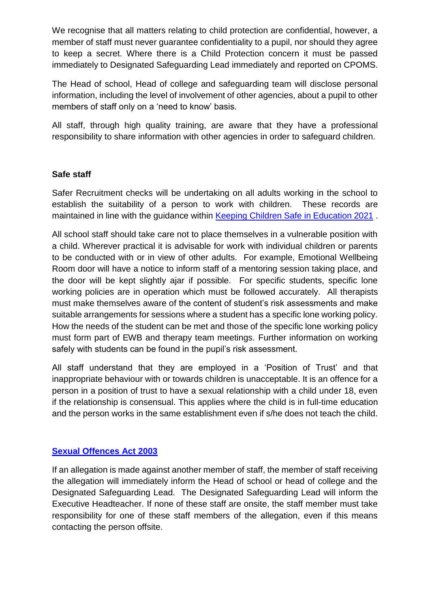We recognise that all matters relating to child protection are confidential, however, a member of staff must never guarantee confidentiality to a pupil, nor should they agree to keep a secret. Where there is a Child Protection concern it must be passed immediately to Designated Safeguarding Lead immediately and reported on CPOMS.

The Head of school, Head of college and safeguarding team will disclose personal information, including the level of involvement of other agencies, about a pupil to other members of staff only on a 'need to know' basis.

All staff, through high quality training, are aware that they have a professional responsibility to share information with other agencies in order to safeguard children.

#### **Safe staff**

Safer Recruitment checks will be undertaking on all adults working in the school to establish the suitability of a person to work with children. These records are maintained in line with the guidance within [Keeping Children Safe in Education 2021](https://assets.publishing.service.gov.uk/government/uploads/system/uploads/attachment_data/file/999348/Keeping_children_safe_in_education_2021.pdf).

All school staff should take care not to place themselves in a vulnerable position with a child. Wherever practical it is advisable for work with individual children or parents to be conducted with or in view of other adults. For example, Emotional Wellbeing Room door will have a notice to inform staff of a mentoring session taking place, and the door will be kept slightly ajar if possible. For specific students, specific lone working policies are in operation which must be followed accurately. All therapists must make themselves aware of the content of student's risk assessments and make suitable arrangements for sessions where a student has a specific lone working policy. How the needs of the student can be met and those of the specific lone working policy must form part of EWB and therapy team meetings. Further information on working safely with students can be found in the pupil's risk assessment.

All staff understand that they are employed in a 'Position of Trust' and that inappropriate behaviour with or towards children is unacceptable. It is an offence for a person in a position of trust to have a sexual relationship with a child under 18, even if the relationship is consensual. This applies where the child is in full-time education and the person works in the same establishment even if s/he does not teach the child.

## **[Sexual Offences Act 2003](https://www.legislation.gov.uk/ukpga/2003/42/contents)**

If an allegation is made against another member of staff, the member of staff receiving the allegation will immediately inform the Head of school or head of college and the Designated Safeguarding Lead. The Designated Safeguarding Lead will inform the Executive Headteacher. If none of these staff are onsite, the staff member must take responsibility for one of these staff members of the allegation, even if this means contacting the person offsite.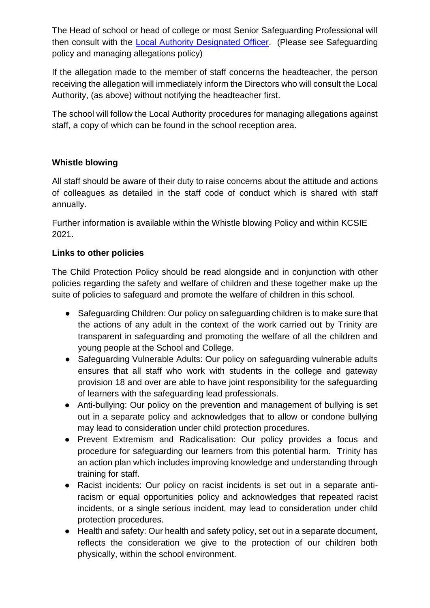The Head of school or head of college or most Senior Safeguarding Professional will then consult with the [Local Authority Designated Officer.](https://www.mscb.org.uk/mscb/info/4/advice-resources-professionals/2/concerned-childcare-professional) (Please see Safeguarding policy and managing allegations policy)

If the allegation made to the member of staff concerns the headteacher, the person receiving the allegation will immediately inform the Directors who will consult the Local Authority, (as above) without notifying the headteacher first.

The school will follow the Local Authority procedures for managing allegations against staff, a copy of which can be found in the school reception area.

## **Whistle blowing**

All staff should be aware of their duty to raise concerns about the attitude and actions of colleagues as detailed in the staff code of conduct which is shared with staff annually.

Further information is available within the Whistle blowing Policy and within KCSIE 2021.

#### **Links to other policies**

The Child Protection Policy should be read alongside and in conjunction with other policies regarding the safety and welfare of children and these together make up the suite of policies to safeguard and promote the welfare of children in this school.

- Safeguarding Children: Our policy on safeguarding children is to make sure that the actions of any adult in the context of the work carried out by Trinity are transparent in safeguarding and promoting the welfare of all the children and young people at the School and College.
- Safeguarding Vulnerable Adults: Our policy on safeguarding vulnerable adults ensures that all staff who work with students in the college and gateway provision 18 and over are able to have joint responsibility for the safeguarding of learners with the safeguarding lead professionals.
- Anti-bullying: Our policy on the prevention and management of bullying is set out in a separate policy and acknowledges that to allow or condone bullying may lead to consideration under child protection procedures.
- Prevent Extremism and Radicalisation: Our policy provides a focus and procedure for safeguarding our learners from this potential harm. Trinity has an action plan which includes improving knowledge and understanding through training for staff.
- Racist incidents: Our policy on racist incidents is set out in a separate antiracism or equal opportunities policy and acknowledges that repeated racist incidents, or a single serious incident, may lead to consideration under child protection procedures.
- Health and safety: Our health and safety policy, set out in a separate document, reflects the consideration we give to the protection of our children both physically, within the school environment.